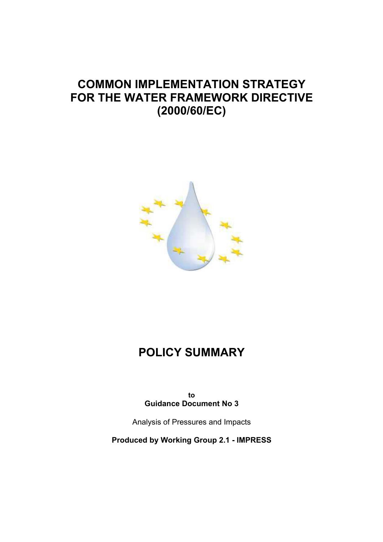## **COMMON IMPLEMENTATION STRATEGY FOR THE WATER FRAMEWORK DIRECTIVE (2000/60/EC)**



# **POLICY SUMMARY**

**to Guidance Document No 3** 

Analysis of Pressures and Impacts

**Produced by Working Group 2.1 - IMPRESS**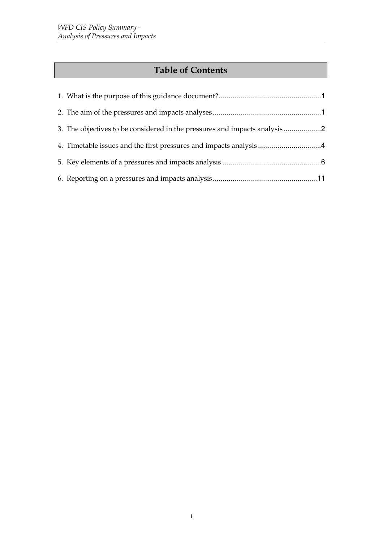## **Table of Contents**

| 3. The objectives to be considered in the pressures and impacts analysis 2 |  |
|----------------------------------------------------------------------------|--|
| 4. Timetable issues and the first pressures and impacts analysis 4         |  |
|                                                                            |  |
|                                                                            |  |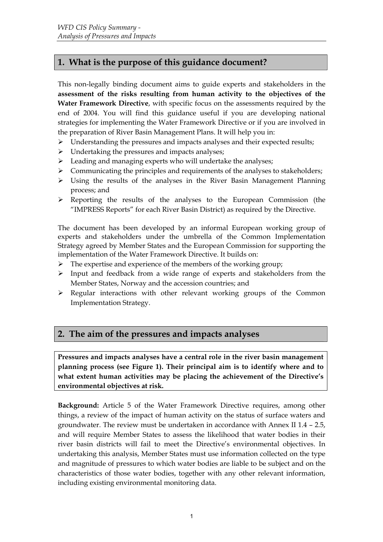## <span id="page-2-0"></span>**1. What is the purpose of this guidance document?**

This non-legally binding document aims to guide experts and stakeholders in the **assessment of the risks resulting from human activity to the objectives of the Water Framework Directive**, with specific focus on the assessments required by the end of 2004. You will find this guidance useful if you are developing national strategies for implementing the Water Framework Directive or if you are involved in the preparation of River Basin Management Plans. It will help you in:

- $\triangleright$  Understanding the pressures and impacts analyses and their expected results;
- $\triangleright$  Undertaking the pressures and impacts analyses;
- $\triangleright$  Leading and managing experts who will undertake the analyses;
- $\triangleright$  Communicating the principles and requirements of the analyses to stakeholders;
- $\triangleright$  Using the results of the analyses in the River Basin Management Planning process; and
- $\triangleright$  Reporting the results of the analyses to the European Commission (the "IMPRESS Reports" for each River Basin District) as required by the Directive.

The document has been developed by an informal European working group of experts and stakeholders under the umbrella of the Common Implementation Strategy agreed by Member States and the European Commission for supporting the implementation of the Water Framework Directive. It builds on:

- $\triangleright$  The expertise and experience of the members of the working group;
- $\triangleright$  Input and feedback from a wide range of experts and stakeholders from the Member States, Norway and the accession countries; and
- $\triangleright$  Regular interactions with other relevant working groups of the Common Implementation Strategy.

#### **2. The aim of the pressures and impacts analyses**

**Pressures and impacts analyses have a central role in the river basin management planning process (see [Figure 1\)](#page-6-0). Their principal aim is to identify where and to what extent human activities may be placing the achievement of the Directive's environmental objectives at risk.** 

**Background:** Article 5 of the Water Framework Directive requires, among other things, a review of the impact of human activity on the status of surface waters and groundwater. The review must be undertaken in accordance with Annex II 1.4 – 2.5, and will require Member States to assess the likelihood that water bodies in their river basin districts will fail to meet the Directive's environmental objectives. In undertaking this analysis, Member States must use information collected on the type and magnitude of pressures to which water bodies are liable to be subject and on the characteristics of those water bodies, together with any other relevant information, including existing environmental monitoring data.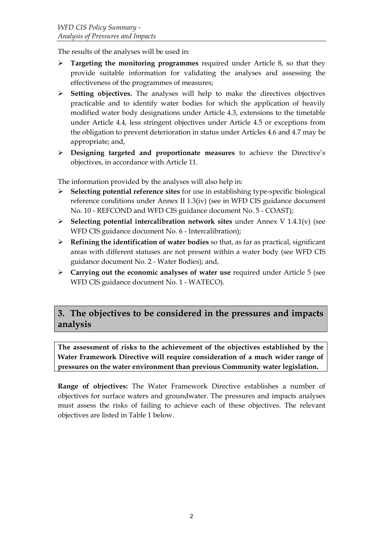<span id="page-3-0"></span>The results of the analyses will be used in:

- ¾ **Targeting the monitoring programmes** required under Article 8, so that they provide suitable information for validating the analyses and assessing the effectiveness of the programmes of measures;
- ¾ **Setting objectives.** The analyses will help to make the directives objectives practicable and to identify water bodies for which the application of heavily modified water body designations under Article 4.3, extensions to the timetable under Article 4.4, less stringent objectives under Article 4.5 or exceptions from the obligation to prevent deterioration in status under Articles 4.6 and 4.7 may be appropriate; and,
- ¾ **Designing targeted and proportionate measures** to achieve the Directive's objectives, in accordance with Article 11.

The information provided by the analyses will also help in:

- ¾ **Selecting potential reference sites** for use in establishing type-specific biological reference conditions under Annex II 1.3(iv) (see in WFD CIS guidance document No. 10 - REFCOND and WFD CIS guidance document No. 5 - COAST);
- ¾ **Selecting potential intercalibration network sites** under Annex V 1.4.1(v) (see WFD CIS guidance document No. 6 - Intercalibration);
- ¾ **Refining the identification of water bodies** so that, as far as practical, significant areas with different statuses are not present within a water body (see WFD CIS guidance document No. 2 - Water Bodies); and,
- ¾ **Carrying out the economic analyses of water use** required under Article 5 (see WFD CIS guidance document No. 1 - WATECO).

### **3. The objectives to be considered in the pressures and impacts analysis**

**The assessment of risks to the achievement of the objectives established by the Water Framework Directive will require consideration of a much wider range of pressures on the water environment than previous Community water legislation.** 

**Range of objectives:** The Water Framework Directive establishes a number of objectives for surface waters and groundwater. The pressures and impacts analyses must assess the risks of failing to achieve each of these objectives. The relevant objectives are listed in [Table 1 b](#page-4-0)elow.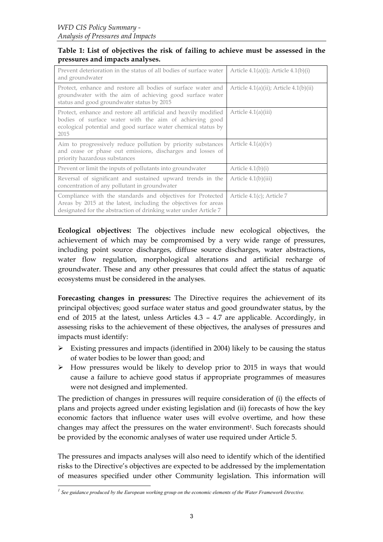#### <span id="page-4-0"></span>**Table 1: List of objectives the risk of failing to achieve must be assessed in the pressures and impacts analyses.**

| Prevent deterioration in the status of all bodies of surface water<br>and groundwater                                                                                                                | Article $4.1(a)(i)$ ; Article $4.1(b)(i)$   |
|------------------------------------------------------------------------------------------------------------------------------------------------------------------------------------------------------|---------------------------------------------|
| Protect, enhance and restore all bodies of surface water and<br>groundwater with the aim of achieving good surface water<br>status and good groundwater status by 2015                               | Article $4.1(a)(ii)$ ; Article $4.1(b)(ii)$ |
| Protect, enhance and restore all artificial and heavily modified<br>bodies of surface water with the aim of achieving good<br>ecological potential and good surface water chemical status by<br>2015 | Article $4.1(a)(iii)$                       |
| Aim to progressively reduce pollution by priority substances<br>and cease or phase out emissions, discharges and losses of<br>priority hazardous substances                                          | Article $4.1(a)(iv)$                        |
| Prevent or limit the inputs of pollutants into groundwater                                                                                                                                           | Article $4.1(b)(i)$                         |
| Reversal of significant and sustained upward trends in the<br>concentration of any pollutant in groundwater                                                                                          | Article $4.1(b)(iii)$                       |
| Compliance with the standards and objectives for Protected<br>Areas by 2015 at the latest, including the objectives for areas<br>designated for the abstraction of drinking water under Article 7    | Article $4.1(c)$ ; Article 7                |

**Ecological objectives:** The objectives include new ecological objectives, the achievement of which may be compromised by a very wide range of pressures, including point source discharges, diffuse source discharges, water abstractions, water flow regulation, morphological alterations and artificial recharge of groundwater. These and any other pressures that could affect the status of aquatic ecosystems must be considered in the analyses.

**Forecasting changes in pressures:** The Directive requires the achievement of its principal objectives; good surface water status and good groundwater status, by the end of 2015 at the latest, unless Articles 4.3 – 4.7 are applicable. Accordingly, in assessing risks to the achievement of these objectives, the analyses of pressures and impacts must identify:

- $\triangleright$  Existing pressures and impacts (identified in 2004) likely to be causing the status of water bodies to be lower than good; and
- $\triangleright$  How pressures would be likely to develop prior to 2015 in ways that would cause a failure to achieve good status if appropriate programmes of measures were not designed and implemented.

The prediction of changes in pressures will require consideration of (i) the effects of plans and projects agreed under existing legislation and (ii) forecasts of how the key economic factors that influence water uses will evolve overtime, and how these changes may affect the pressures on the water environment<sup>1</sup>. Such forecasts should be provided by the economic analyses of water use required under Article 5.

The pressures and impacts analyses will also need to identify which of the identified risks to the Directive's objectives are expected to be addressed by the implementation of measures specified under other Community legislation. This information will

<span id="page-4-1"></span>*<sup>1</sup> See guidance produced by the European working group on the economic elements of the Water Framework Directive.*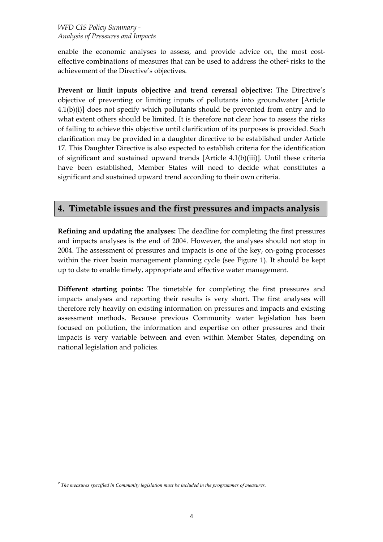<span id="page-5-0"></span>enable the economic analyses to assess, and provide advice on, the most costeffective combinations of measures that can be used to address the other<sup>2</sup> risks to the achievement of the Directive's objectives.

**Prevent or limit inputs objective and trend reversal objective:** The Directive's objective of preventing or limiting inputs of pollutants into groundwater [Article 4.1(b)(i)] does not specify which pollutants should be prevented from entry and to what extent others should be limited. It is therefore not clear how to assess the risks of failing to achieve this objective until clarification of its purposes is provided. Such clarification may be provided in a daughter directive to be established under Article 17. This Daughter Directive is also expected to establish criteria for the identification of significant and sustained upward trends [Article 4.1(b)(iii)]. Until these criteria have been established, Member States will need to decide what constitutes a significant and sustained upward trend according to their own criteria.

### **4. Timetable issues and the first pressures and impacts analysis**

**Refining and updating the analyses:** The deadline for completing the first pressures and impacts analyses is the end of 2004. However, the analyses should not stop in 2004. The assessment of pressures and impacts is one of the key, on-going processes within the river basin management planning cycle (see [Figure 1\)](#page-6-0). It should be kept up to date to enable timely, appropriate and effective water management.

**Different starting points:** The timetable for completing the first pressures and impacts analyses and reporting their results is very short. The first analyses will therefore rely heavily on existing information on pressures and impacts and existing assessment methods. Because previous Community water legislation has been focused on pollution, the information and expertise on other pressures and their impacts is very variable between and even within Member States, depending on national legislation and policies.

<span id="page-5-1"></span>*<sup>2</sup> The measures specified in Community legislation must be included in the programmes of measures.*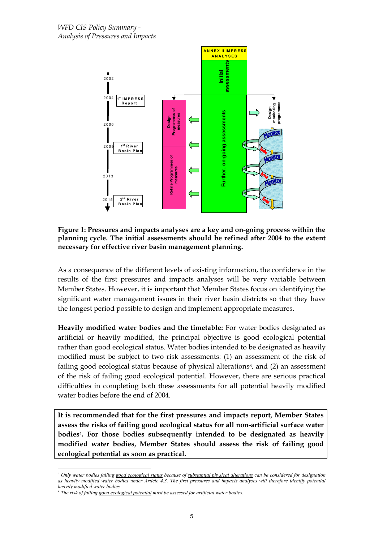<span id="page-6-0"></span>

#### **Figure 1: Pressures and impacts analyses are a key and on-going process within the planning cycle. The initial assessments should be refined after 2004 to the extent necessary for effective river basin management planning.**

As a consequence of the different levels of existing information, the confidence in the results of the first pressures and impacts analyses will be very variable between Member States. However, it is important that Member States focus on identifying the significant water management issues in their river basin districts so that they have the longest period possible to design and implement appropriate measures.

**Heavily modified water bodies and the timetable:** For water bodies designated as artificial or heavily modified, the principal objective is good ecological potential rather than good ecological status. Water bodies intended to be designated as heavily modified must be subject to two risk assessments: (1) an assessment of the risk of failing good ecological status because of physical alterations<sup>3</sup>, and (2) an assessment of the risk of failing good ecological potential. However, there are serious practical difficulties in completing both these assessments for all potential heavily modified water bodies before the end of 2004.

**It is recommended that for the first pressures and impacts report, Member States assess the risks of failing good ecological status for all non-artificial surface water bodies[4.](#page-6-2) For those bodies subsequently intended to be designated as heavily modified water bodies, Member States should assess the risk of failing good ecological potential as soon as practical.** 

<span id="page-6-1"></span><sup>-</sup>*3 Only water bodies failing good ecological status because of substantial physical alterations can be considered for designation as heavily modified water bodies under Article 4.3. The first pressures and impacts analyses will therefore identify potential*

<span id="page-6-2"></span>*heavily modified water bodies. 4 The risk of failing good ecological potential must be assessed for artificial water bodies.*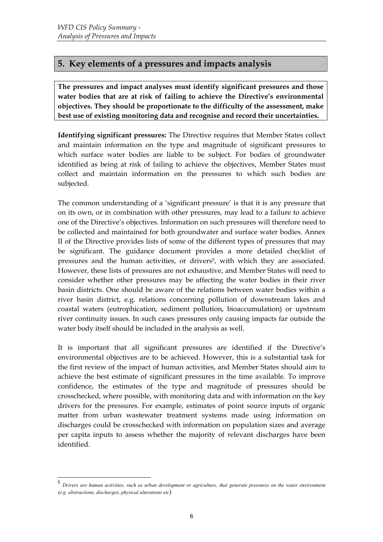## <span id="page-7-0"></span>**5. Key elements of a pressures and impacts analysis**

**The pressures and impact analyses must identify significant pressures and those water bodies that are at risk of failing to achieve the Directive's environmental objectives. They should be proportionate to the difficulty of the assessment, make best use of existing monitoring data and recognise and record their uncertainties.** 

**Identifying significant pressures:** The Directive requires that Member States collect and maintain information on the type and magnitude of significant pressures to which surface water bodies are liable to be subject. For bodies of groundwater identified as being at risk of failing to achieve the objectives, Member States must collect and maintain information on the pressures to which such bodies are subjected.

The common understanding of a 'significant pressure' is that it is any pressure that on its own, or in combination with other pressures, may lead to a failure to achieve one of the Directive's objectives. Information on such pressures will therefore need to be collected and maintained for both groundwater and surface water bodies. Annex II of the Directive provides lists of some of the different types of pressures that may be significant. The guidance document provides a more detailed checklist of pressures and the human activities, or drivers<sup>5</sup>, with which they are associated. However, these lists of pressures are not exhaustive, and Member States will need to consider whether other pressures may be affecting the water bodies in their river basin districts. One should be aware of the relations between water bodies within a river basin district, e.g. relations concerning pollution of downstream lakes and coastal waters (eutrophication, sediment pollution, bioaccumulation) or upstream river continuity issues. In such cases pressures only causing impacts far outside the water body itself should be included in the analysis as well.

It is important that all significant pressures are identified if the Directive's environmental objectives are to be achieved. However, this is a substantial task for the first review of the impact of human activities, and Member States should aim to achieve the best estimate of significant pressures in the time available. To improve confidence, the estimates of the type and magnitude of pressures should be crosschecked, where possible, with monitoring data and with information on the key drivers for the pressures. For example, estimates of point source inputs of organic matter from urban wastewater treatment systems made using information on discharges could be crosschecked with information on population sizes and average per capita inputs to assess whether the majority of relevant discharges have been identified.

<span id="page-7-1"></span> <sup>5</sup> *Drivers are human activities, such as urban development or agriculture, that generate pressures on the water environment (e.g. abstractions, discharges, physical alterations etc*)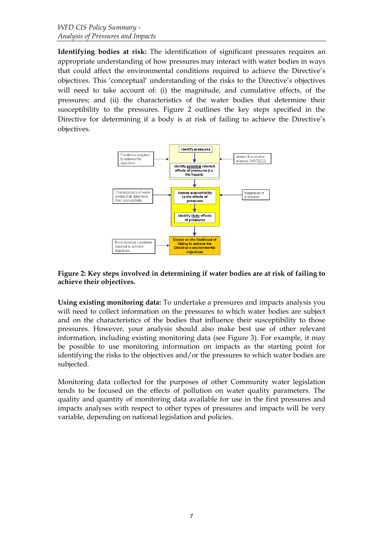**Identifying bodies at risk:** The identification of significant pressures requires an appropriate understanding of how pressures may interact with water bodies in ways that could affect the environmental conditions required to achieve the Directive's objectives. This 'conceptual' understanding of the risks to the Directive's objectives will need to take account of: (i) the magnitude, and cumulative effects, of the pressures; and (ii) the characteristics of the water bodies that determine their susceptibility to the pressures. [Figure 2](#page-8-0) outlines the key steps specified in the Directive for determining if a body is at risk of failing to achieve the Directive's objectives.

<span id="page-8-0"></span>

#### **Figure 2: Key steps involved in determining if water bodies are at risk of failing to achieve their objectives.**

**Using existing monitoring data:** To undertake a pressures and impacts analysis you will need to collect information on the pressures to which water bodies are subject and on the characteristics of the bodies that influence their susceptibility to those pressures. However, your analysis should also make best use of other relevant information, including existing monitoring data (see [Figure 3\)](#page-9-0). For example, it may be possible to use monitoring information on impacts as the starting point for identifying the risks to the objectives and/or the pressures to which water bodies are subjected.

Monitoring data collected for the purposes of other Community water legislation tends to be focused on the effects of pollution on water quality parameters. The quality and quantity of monitoring data available for use in the first pressures and impacts analyses with respect to other types of pressures and impacts will be very variable, depending on national legislation and policies.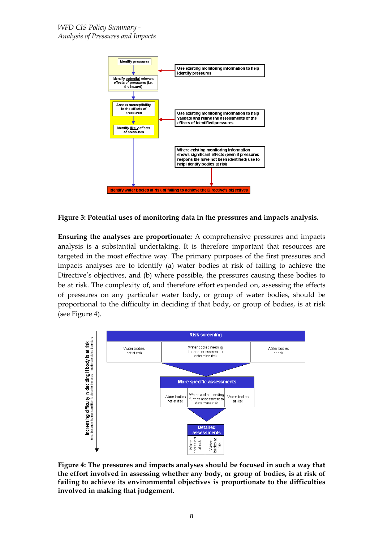

<span id="page-9-0"></span>**Figure 3: Potential uses of monitoring data in the pressures and impacts analysis.** 

**Ensuring the analyses are proportionate:** A comprehensive pressures and impacts analysis is a substantial undertaking. It is therefore important that resources are targeted in the most effective way. The primary purposes of the first pressures and impacts analyses are to identify (a) water bodies at risk of failing to achieve the Directive's objectives, and (b) where possible, the pressures causing these bodies to be at risk. The complexity of, and therefore effort expended on, assessing the effects of pressures on any particular water body, or group of water bodies, should be proportional to the difficulty in deciding if that body, or group of bodies, is at risk (see [Figure 4\)](#page-9-1).

<span id="page-9-1"></span>

**Figure 4: The pressures and impacts analyses should be focused in such a way that the effort involved in assessing whether any body, or group of bodies, is at risk of failing to achieve its environmental objectives is proportionate to the difficulties involved in making that judgement.**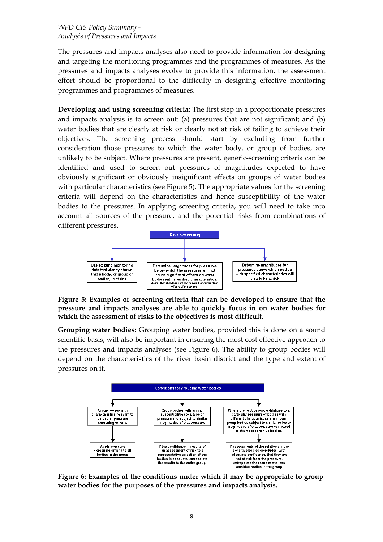The pressures and impacts analyses also need to provide information for designing and targeting the monitoring programmes and the programmes of measures. As the pressures and impacts analyses evolve to provide this information, the assessment effort should be proportional to the difficulty in designing effective monitoring programmes and programmes of measures.

**Developing and using screening criteria:** The first step in a proportionate pressures and impacts analysis is to screen out: (a) pressures that are not significant; and (b) water bodies that are clearly at risk or clearly not at risk of failing to achieve their objectives. The screening process should start by excluding from further consideration those pressures to which the water body, or group of bodies, are unlikely to be subject. Where pressures are present, generic-screening criteria can be identified and used to screen out pressures of magnitudes expected to have obviously significant or obviously insignificant effects on groups of water bodies with particular characteristics (see [Figure 5\)](#page-10-0). The appropriate values for the screening criteria will depend on the characteristics and hence susceptibility of the water bodies to the pressures. In applying screening criteria, you will need to take into account all sources of the pressure, and the potential risks from combinations of different pressures.

<span id="page-10-0"></span>

**Figure 5: Examples of screening criteria that can be developed to ensure that the pressure and impacts analyses are able to quickly focus in on water bodies for which the assessment of risks to the objectives is most difficult.** 

**Grouping water bodies:** Grouping water bodies, provided this is done on a sound scientific basis, will also be important in ensuring the most cost effective approach to the pressures and impacts analyses (see [Figure 6\)](#page-10-1). The ability to group bodies will depend on the characteristics of the river basin district and the type and extent of pressures on it.

<span id="page-10-1"></span>

**Figure 6: Examples of the conditions under which it may be appropriate to group water bodies for the purposes of the pressures and impacts analysis.**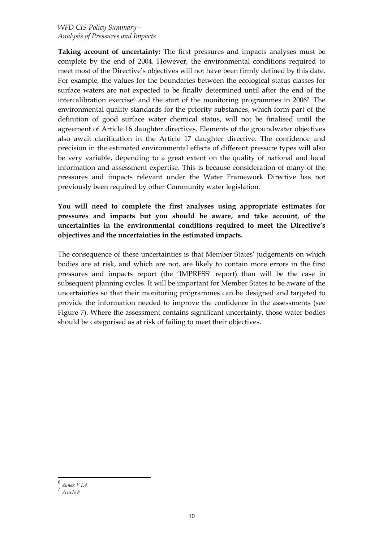**Taking account of uncertainty:** The first pressures and impacts analyses must be complete by the end of 2004. However, the environmental conditions required to meet most of the Directive's objectives will not have been firmly defined by this date. For example, the values for the boundaries between the ecological status classes for surface waters are not expected to be finally determined until after the end of the intercalibration exercise<sup> $6$ </sup> and the start of the monitoring programmes in 2006<sup>7</sup>. The environmental quality standards for the priority substances, which form part of the definition of good surface water chemical status, will not be finalised until the agreement of Article 16 daughter directives. Elements of the groundwater objectives also await clarification in the Article 17 daughter directive. The confidence and precision in the estimated environmental effects of different pressure types will also be very variable, depending to a great extent on the quality of national and local information and assessment expertise. This is because consideration of many of the pressures and impacts relevant under the Water Framework Directive has not previously been required by other Community water legislation.

**You will need to complete the first analyses using appropriate estimates for pressures and impacts but you should be aware, and take account, of the uncertainties in the environmental conditions required to meet the Directive's objectives and the uncertainties in the estimated impacts.** 

The consequence of these uncertainties is that Member States' judgements on which bodies are at risk, and which are not, are likely to contain more errors in the first pressures and impacts report (the 'IMPRESS' report) than will be the case in subsequent planning cycles. It will be important for Member States to be aware of the uncertainties so that their monitoring programmes can be designed and targeted to provide the information needed to improve the confidence in the assessments (see [Figure 7\)](#page-12-1). Where the assessment contains significant uncertainty, those water bodies should be categorised as at risk of failing to meet their objectives.

<span id="page-11-0"></span>*<sup>6</sup> Annex V 1.4*

<span id="page-11-1"></span>*<sup>7</sup> Article 8*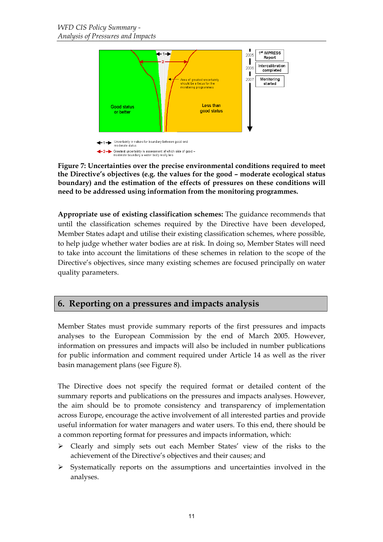<span id="page-12-1"></span><span id="page-12-0"></span>

**Figure 7: Uncertainties over the precise environmental conditions required to meet the Directive's objectives (e.g. the values for the good – moderate ecological status boundary) and the estimation of the effects of pressures on these conditions will need to be addressed using information from the monitoring programmes.** 

**Appropriate use of existing classification schemes:** The guidance recommends that until the classification schemes required by the Directive have been developed, Member States adapt and utilise their existing classification schemes, where possible, to help judge whether water bodies are at risk. In doing so, Member States will need to take into account the limitations of these schemes in relation to the scope of the Directive's objectives, since many existing schemes are focused principally on water quality parameters.

#### **6. Reporting on a pressures and impacts analysis**

Member States must provide summary reports of the first pressures and impacts analyses to the European Commission by the end of March 2005. However, information on pressures and impacts will also be included in number publications for public information and comment required under Article 14 as well as the river basin management plans (see Figure 8).

The Directive does not specify the required format or detailed content of the summary reports and publications on the pressures and impacts analyses. However, the aim should be to promote consistency and transparency of implementation across Europe, encourage the active involvement of all interested parties and provide useful information for water managers and water users. To this end, there should be a common reporting format for pressures and impacts information, which:

- $\triangleright$  Clearly and simply sets out each Member States' view of the risks to the achievement of the Directive's objectives and their causes; and
- $\triangleright$  Systematically reports on the assumptions and uncertainties involved in the analyses.